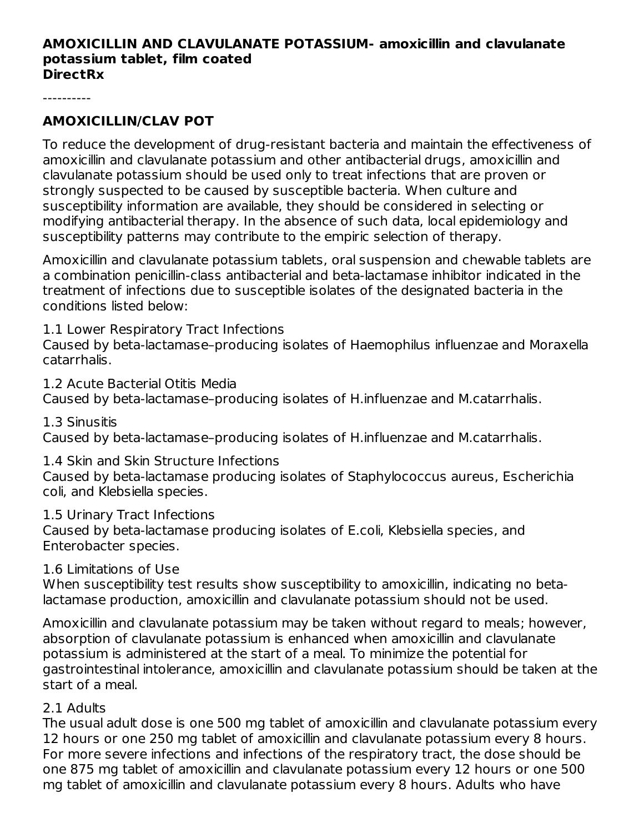### **AMOXICILLIN AND CLAVULANATE POTASSIUM- amoxicillin and clavulanate potassium tablet, film coated DirectRx**

----------

## **AMOXICILLIN/CLAV POT**

To reduce the development of drug-resistant bacteria and maintain the effectiveness of amoxicillin and clavulanate potassium and other antibacterial drugs, amoxicillin and clavulanate potassium should be used only to treat infections that are proven or strongly suspected to be caused by susceptible bacteria. When culture and susceptibility information are available, they should be considered in selecting or modifying antibacterial therapy. In the absence of such data, local epidemiology and susceptibility patterns may contribute to the empiric selection of therapy.

Amoxicillin and clavulanate potassium tablets, oral suspension and chewable tablets are a combination penicillin-class antibacterial and beta-lactamase inhibitor indicated in the treatment of infections due to susceptible isolates of the designated bacteria in the conditions listed below:

1.1 Lower Respiratory Tract Infections

Caused by beta-lactamase–producing isolates of Haemophilus influenzae and Moraxella catarrhalis.

1.2 Acute Bacterial Otitis Media

Caused by beta-lactamase–producing isolates of H.influenzae and M.catarrhalis.

1.3 Sinusitis Caused by beta-lactamase–producing isolates of H.influenzae and M.catarrhalis.

1.4 Skin and Skin Structure Infections Caused by beta-lactamase producing isolates of Staphylococcus aureus, Escherichia coli, and Klebsiella species.

### 1.5 Urinary Tract Infections

Caused by beta-lactamase producing isolates of E.coli, Klebsiella species, and Enterobacter species.

### 1.6 Limitations of Use

When susceptibility test results show susceptibility to amoxicillin, indicating no betalactamase production, amoxicillin and clavulanate potassium should not be used.

Amoxicillin and clavulanate potassium may be taken without regard to meals; however, absorption of clavulanate potassium is enhanced when amoxicillin and clavulanate potassium is administered at the start of a meal. To minimize the potential for gastrointestinal intolerance, amoxicillin and clavulanate potassium should be taken at the start of a meal.

### 2.1 Adults

The usual adult dose is one 500 mg tablet of amoxicillin and clavulanate potassium every 12 hours or one 250 mg tablet of amoxicillin and clavulanate potassium every 8 hours. For more severe infections and infections of the respiratory tract, the dose should be one 875 mg tablet of amoxicillin and clavulanate potassium every 12 hours or one 500 mg tablet of amoxicillin and clavulanate potassium every 8 hours. Adults who have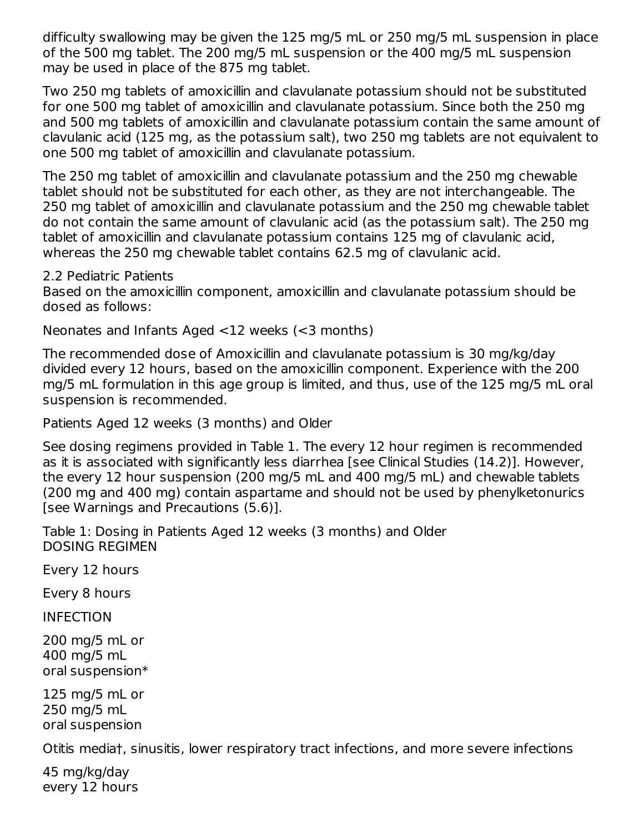difficulty swallowing may be given the 125 mg/5 mL or 250 mg/5 mL suspension in place of the 500 mg tablet. The 200 mg/5 mL suspension or the 400 mg/5 mL suspension may be used in place of the 875 mg tablet.

Two 250 mg tablets of amoxicillin and clavulanate potassium should not be substituted for one 500 mg tablet of amoxicillin and clavulanate potassium. Since both the 250 mg and 500 mg tablets of amoxicillin and clavulanate potassium contain the same amount of clavulanic acid (125 mg, as the potassium salt), two 250 mg tablets are not equivalent to one 500 mg tablet of amoxicillin and clavulanate potassium.

The 250 mg tablet of amoxicillin and clavulanate potassium and the 250 mg chewable tablet should not be substituted for each other, as they are not interchangeable. The 250 mg tablet of amoxicillin and clavulanate potassium and the 250 mg chewable tablet do not contain the same amount of clavulanic acid (as the potassium salt). The 250 mg tablet of amoxicillin and clavulanate potassium contains 125 mg of clavulanic acid, whereas the 250 mg chewable tablet contains 62.5 mg of clavulanic acid.

2.2 Pediatric Patients

Based on the amoxicillin component, amoxicillin and clavulanate potassium should be dosed as follows:

Neonates and Infants Aged <12 weeks (<3 months)

The recommended dose of Amoxicillin and clavulanate potassium is 30 mg/kg/day divided every 12 hours, based on the amoxicillin component. Experience with the 200 mg/5 mL formulation in this age group is limited, and thus, use of the 125 mg/5 mL oral suspension is recommended.

Patients Aged 12 weeks (3 months) and Older

See dosing regimens provided in Table 1. The every 12 hour regimen is recommended as it is associated with significantly less diarrhea [see Clinical Studies (14.2)]. However, the every 12 hour suspension (200 mg/5 mL and 400 mg/5 mL) and chewable tablets (200 mg and 400 mg) contain aspartame and should not be used by phenylketonurics [see Warnings and Precautions (5.6)].

Table 1: Dosing in Patients Aged 12 weeks (3 months) and Older DOSING REGIMEN

Every 12 hours

Every 8 hours

INFECTION

200 mg/5 mL or 400 mg/5 mL oral suspension\*

125 mg/5 mL or 250 mg/5 mL oral suspension

Otitis media†, sinusitis, lower respiratory tract infections, and more severe infections

45 mg/kg/day every 12 hours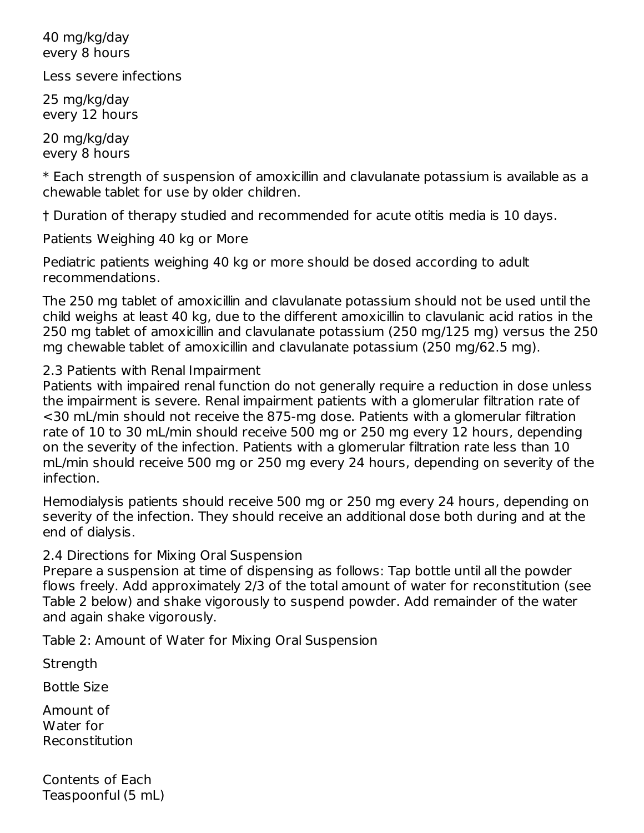40 mg/kg/day every 8 hours

Less severe infections

25 mg/kg/day every 12 hours

20 mg/kg/day every 8 hours

\* Each strength of suspension of amoxicillin and clavulanate potassium is available as a chewable tablet for use by older children.

† Duration of therapy studied and recommended for acute otitis media is 10 days.

Patients Weighing 40 kg or More

Pediatric patients weighing 40 kg or more should be dosed according to adult recommendations.

The 250 mg tablet of amoxicillin and clavulanate potassium should not be used until the child weighs at least 40 kg, due to the different amoxicillin to clavulanic acid ratios in the 250 mg tablet of amoxicillin and clavulanate potassium (250 mg/125 mg) versus the 250 mg chewable tablet of amoxicillin and clavulanate potassium (250 mg/62.5 mg).

### 2.3 Patients with Renal Impairment

Patients with impaired renal function do not generally require a reduction in dose unless the impairment is severe. Renal impairment patients with a glomerular filtration rate of <30 mL/min should not receive the 875-mg dose. Patients with a glomerular filtration rate of 10 to 30 mL/min should receive 500 mg or 250 mg every 12 hours, depending on the severity of the infection. Patients with a glomerular filtration rate less than 10 mL/min should receive 500 mg or 250 mg every 24 hours, depending on severity of the infection.

Hemodialysis patients should receive 500 mg or 250 mg every 24 hours, depending on severity of the infection. They should receive an additional dose both during and at the end of dialysis.

### 2.4 Directions for Mixing Oral Suspension

Prepare a suspension at time of dispensing as follows: Tap bottle until all the powder flows freely. Add approximately 2/3 of the total amount of water for reconstitution (see Table 2 below) and shake vigorously to suspend powder. Add remainder of the water and again shake vigorously.

Table 2: Amount of Water for Mixing Oral Suspension

Strength

Bottle Size

Amount of Water for Reconstitution

Contents of Each Teaspoonful (5 mL)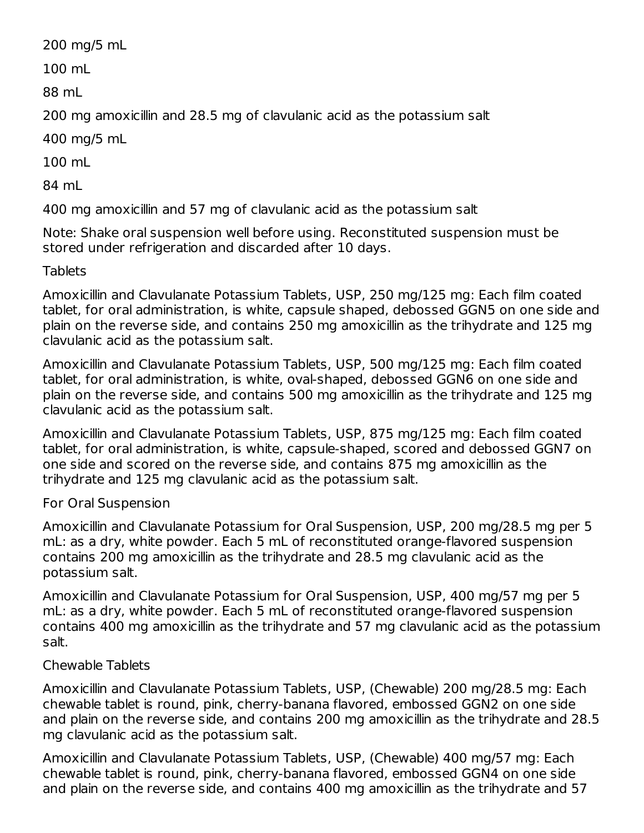200 mg/5 mL

100 mL

88 mL

200 mg amoxicillin and 28.5 mg of clavulanic acid as the potassium salt

400 mg/5 mL

100 mL

84 mL

400 mg amoxicillin and 57 mg of clavulanic acid as the potassium salt

Note: Shake oral suspension well before using. Reconstituted suspension must be stored under refrigeration and discarded after 10 days.

### **Tablets**

Amoxicillin and Clavulanate Potassium Tablets, USP, 250 mg/125 mg: Each film coated tablet, for oral administration, is white, capsule shaped, debossed GGN5 on one side and plain on the reverse side, and contains 250 mg amoxicillin as the trihydrate and 125 mg clavulanic acid as the potassium salt.

Amoxicillin and Clavulanate Potassium Tablets, USP, 500 mg/125 mg: Each film coated tablet, for oral administration, is white, oval-shaped, debossed GGN6 on one side and plain on the reverse side, and contains 500 mg amoxicillin as the trihydrate and 125 mg clavulanic acid as the potassium salt.

Amoxicillin and Clavulanate Potassium Tablets, USP, 875 mg/125 mg: Each film coated tablet, for oral administration, is white, capsule-shaped, scored and debossed GGN7 on one side and scored on the reverse side, and contains 875 mg amoxicillin as the trihydrate and 125 mg clavulanic acid as the potassium salt.

### For Oral Suspension

Amoxicillin and Clavulanate Potassium for Oral Suspension, USP, 200 mg/28.5 mg per 5 mL: as a dry, white powder. Each 5 mL of reconstituted orange-flavored suspension contains 200 mg amoxicillin as the trihydrate and 28.5 mg clavulanic acid as the potassium salt.

Amoxicillin and Clavulanate Potassium for Oral Suspension, USP, 400 mg/57 mg per 5 mL: as a dry, white powder. Each 5 mL of reconstituted orange-flavored suspension contains 400 mg amoxicillin as the trihydrate and 57 mg clavulanic acid as the potassium salt.

### Chewable Tablets

Amoxicillin and Clavulanate Potassium Tablets, USP, (Chewable) 200 mg/28.5 mg: Each chewable tablet is round, pink, cherry-banana flavored, embossed GGN2 on one side and plain on the reverse side, and contains 200 mg amoxicillin as the trihydrate and 28.5 mg clavulanic acid as the potassium salt.

Amoxicillin and Clavulanate Potassium Tablets, USP, (Chewable) 400 mg/57 mg: Each chewable tablet is round, pink, cherry-banana flavored, embossed GGN4 on one side and plain on the reverse side, and contains 400 mg amoxicillin as the trihydrate and 57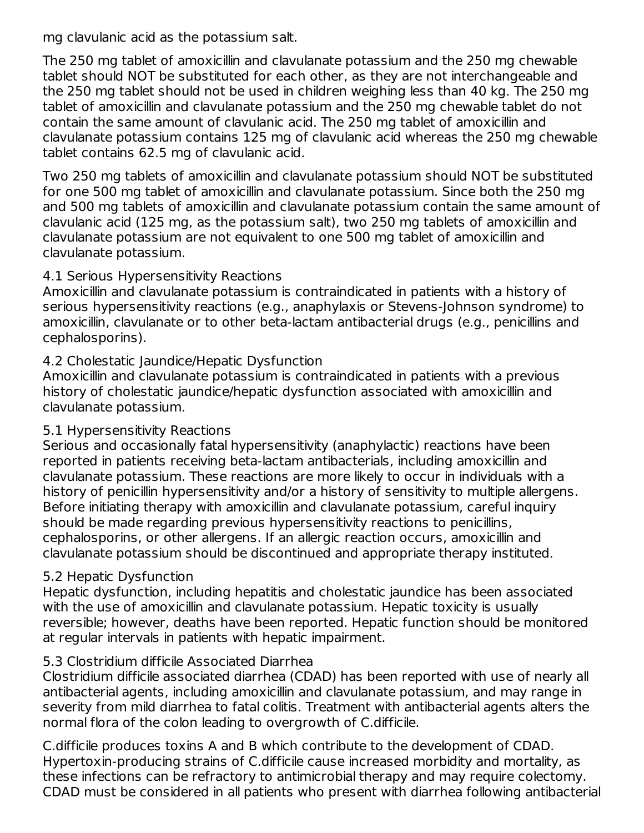mg clavulanic acid as the potassium salt.

The 250 mg tablet of amoxicillin and clavulanate potassium and the 250 mg chewable tablet should NOT be substituted for each other, as they are not interchangeable and the 250 mg tablet should not be used in children weighing less than 40 kg. The 250 mg tablet of amoxicillin and clavulanate potassium and the 250 mg chewable tablet do not contain the same amount of clavulanic acid. The 250 mg tablet of amoxicillin and clavulanate potassium contains 125 mg of clavulanic acid whereas the 250 mg chewable tablet contains 62.5 mg of clavulanic acid.

Two 250 mg tablets of amoxicillin and clavulanate potassium should NOT be substituted for one 500 mg tablet of amoxicillin and clavulanate potassium. Since both the 250 mg and 500 mg tablets of amoxicillin and clavulanate potassium contain the same amount of clavulanic acid (125 mg, as the potassium salt), two 250 mg tablets of amoxicillin and clavulanate potassium are not equivalent to one 500 mg tablet of amoxicillin and clavulanate potassium.

### 4.1 Serious Hypersensitivity Reactions

Amoxicillin and clavulanate potassium is contraindicated in patients with a history of serious hypersensitivity reactions (e.g., anaphylaxis or Stevens-Johnson syndrome) to amoxicillin, clavulanate or to other beta-lactam antibacterial drugs (e.g., penicillins and cephalosporins).

# 4.2 Cholestatic Jaundice/Hepatic Dysfunction

Amoxicillin and clavulanate potassium is contraindicated in patients with a previous history of cholestatic jaundice/hepatic dysfunction associated with amoxicillin and clavulanate potassium.

# 5.1 Hypersensitivity Reactions

Serious and occasionally fatal hypersensitivity (anaphylactic) reactions have been reported in patients receiving beta-lactam antibacterials, including amoxicillin and clavulanate potassium. These reactions are more likely to occur in individuals with a history of penicillin hypersensitivity and/or a history of sensitivity to multiple allergens. Before initiating therapy with amoxicillin and clavulanate potassium, careful inquiry should be made regarding previous hypersensitivity reactions to penicillins, cephalosporins, or other allergens. If an allergic reaction occurs, amoxicillin and clavulanate potassium should be discontinued and appropriate therapy instituted.

# 5.2 Hepatic Dysfunction

Hepatic dysfunction, including hepatitis and cholestatic jaundice has been associated with the use of amoxicillin and clavulanate potassium. Hepatic toxicity is usually reversible; however, deaths have been reported. Hepatic function should be monitored at regular intervals in patients with hepatic impairment.

# 5.3 Clostridium difficile Associated Diarrhea

Clostridium difficile associated diarrhea (CDAD) has been reported with use of nearly all antibacterial agents, including amoxicillin and clavulanate potassium, and may range in severity from mild diarrhea to fatal colitis. Treatment with antibacterial agents alters the normal flora of the colon leading to overgrowth of C.difficile.

C.difficile produces toxins A and B which contribute to the development of CDAD. Hypertoxin-producing strains of C.difficile cause increased morbidity and mortality, as these infections can be refractory to antimicrobial therapy and may require colectomy. CDAD must be considered in all patients who present with diarrhea following antibacterial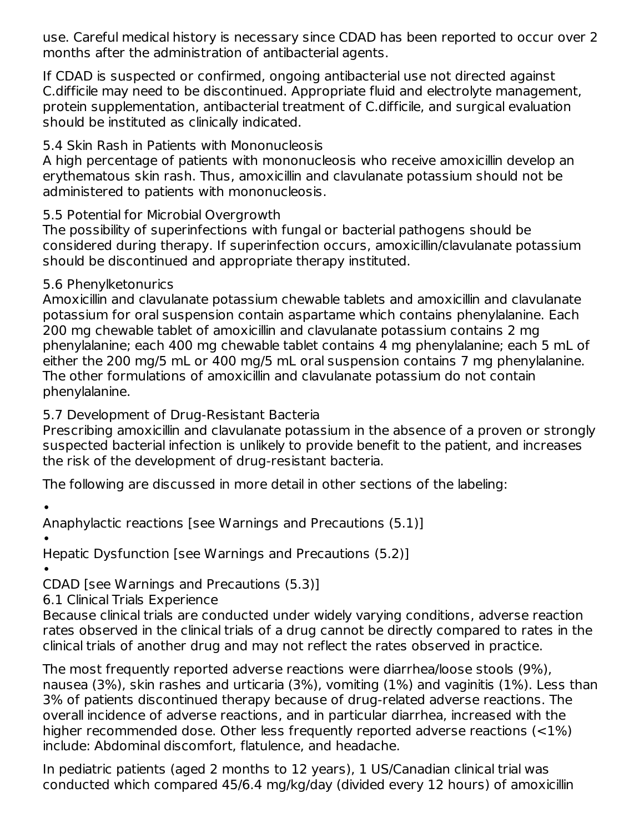use. Careful medical history is necessary since CDAD has been reported to occur over 2 months after the administration of antibacterial agents.

If CDAD is suspected or confirmed, ongoing antibacterial use not directed against C.difficile may need to be discontinued. Appropriate fluid and electrolyte management, protein supplementation, antibacterial treatment of C.difficile, and surgical evaluation should be instituted as clinically indicated.

5.4 Skin Rash in Patients with Mononucleosis

A high percentage of patients with mononucleosis who receive amoxicillin develop an erythematous skin rash. Thus, amoxicillin and clavulanate potassium should not be administered to patients with mononucleosis.

5.5 Potential for Microbial Overgrowth

The possibility of superinfections with fungal or bacterial pathogens should be considered during therapy. If superinfection occurs, amoxicillin/clavulanate potassium should be discontinued and appropriate therapy instituted.

# 5.6 Phenylketonurics

Amoxicillin and clavulanate potassium chewable tablets and amoxicillin and clavulanate potassium for oral suspension contain aspartame which contains phenylalanine. Each 200 mg chewable tablet of amoxicillin and clavulanate potassium contains 2 mg phenylalanine; each 400 mg chewable tablet contains 4 mg phenylalanine; each 5 mL of either the 200 mg/5 mL or 400 mg/5 mL oral suspension contains 7 mg phenylalanine. The other formulations of amoxicillin and clavulanate potassium do not contain phenylalanine.

# 5.7 Development of Drug-Resistant Bacteria

Prescribing amoxicillin and clavulanate potassium in the absence of a proven or strongly suspected bacterial infection is unlikely to provide benefit to the patient, and increases the risk of the development of drug-resistant bacteria.

The following are discussed in more detail in other sections of the labeling:

•

Anaphylactic reactions [see Warnings and Precautions (5.1)]

•

Hepatic Dysfunction [see Warnings and Precautions (5.2)]

•

CDAD [see Warnings and Precautions (5.3)]

6.1 Clinical Trials Experience

Because clinical trials are conducted under widely varying conditions, adverse reaction rates observed in the clinical trials of a drug cannot be directly compared to rates in the clinical trials of another drug and may not reflect the rates observed in practice.

The most frequently reported adverse reactions were diarrhea/loose stools (9%), nausea (3%), skin rashes and urticaria (3%), vomiting (1%) and vaginitis (1%). Less than 3% of patients discontinued therapy because of drug-related adverse reactions. The overall incidence of adverse reactions, and in particular diarrhea, increased with the higher recommended dose. Other less frequently reported adverse reactions (<1%) include: Abdominal discomfort, flatulence, and headache.

In pediatric patients (aged 2 months to 12 years), 1 US/Canadian clinical trial was conducted which compared 45/6.4 mg/kg/day (divided every 12 hours) of amoxicillin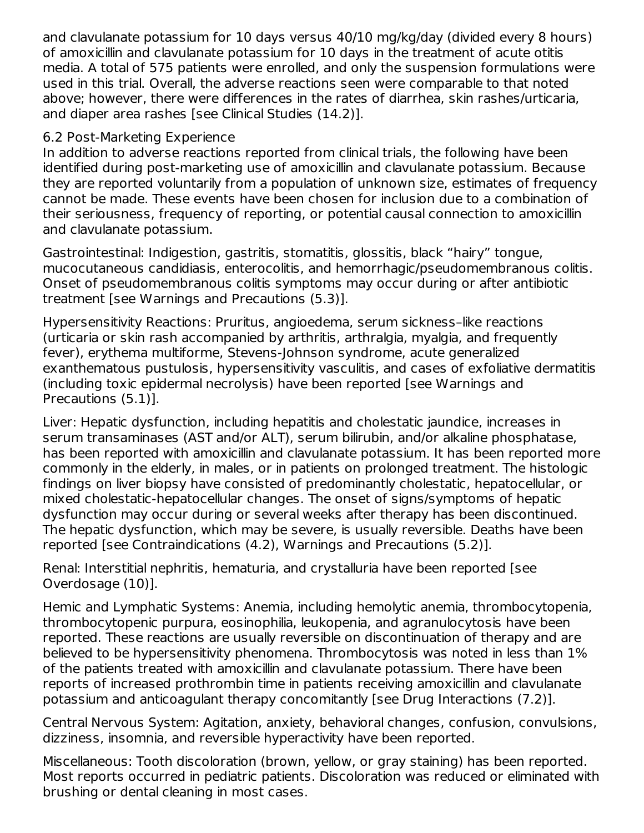and clavulanate potassium for 10 days versus 40/10 mg/kg/day (divided every 8 hours) of amoxicillin and clavulanate potassium for 10 days in the treatment of acute otitis media. A total of 575 patients were enrolled, and only the suspension formulations were used in this trial. Overall, the adverse reactions seen were comparable to that noted above; however, there were differences in the rates of diarrhea, skin rashes/urticaria, and diaper area rashes [see Clinical Studies (14.2)].

### 6.2 Post-Marketing Experience

In addition to adverse reactions reported from clinical trials, the following have been identified during post-marketing use of amoxicillin and clavulanate potassium. Because they are reported voluntarily from a population of unknown size, estimates of frequency cannot be made. These events have been chosen for inclusion due to a combination of their seriousness, frequency of reporting, or potential causal connection to amoxicillin and clavulanate potassium.

Gastrointestinal: Indigestion, gastritis, stomatitis, glossitis, black "hairy" tongue, mucocutaneous candidiasis, enterocolitis, and hemorrhagic/pseudomembranous colitis. Onset of pseudomembranous colitis symptoms may occur during or after antibiotic treatment [see Warnings and Precautions (5.3)].

Hypersensitivity Reactions: Pruritus, angioedema, serum sickness–like reactions (urticaria or skin rash accompanied by arthritis, arthralgia, myalgia, and frequently fever), erythema multiforme, Stevens-Johnson syndrome, acute generalized exanthematous pustulosis, hypersensitivity vasculitis, and cases of exfoliative dermatitis (including toxic epidermal necrolysis) have been reported [see Warnings and Precautions (5.1)].

Liver: Hepatic dysfunction, including hepatitis and cholestatic jaundice, increases in serum transaminases (AST and/or ALT), serum bilirubin, and/or alkaline phosphatase, has been reported with amoxicillin and clavulanate potassium. It has been reported more commonly in the elderly, in males, or in patients on prolonged treatment. The histologic findings on liver biopsy have consisted of predominantly cholestatic, hepatocellular, or mixed cholestatic-hepatocellular changes. The onset of signs/symptoms of hepatic dysfunction may occur during or several weeks after therapy has been discontinued. The hepatic dysfunction, which may be severe, is usually reversible. Deaths have been reported [see Contraindications (4.2), Warnings and Precautions (5.2)].

Renal: Interstitial nephritis, hematuria, and crystalluria have been reported [see Overdosage (10)].

Hemic and Lymphatic Systems: Anemia, including hemolytic anemia, thrombocytopenia, thrombocytopenic purpura, eosinophilia, leukopenia, and agranulocytosis have been reported. These reactions are usually reversible on discontinuation of therapy and are believed to be hypersensitivity phenomena. Thrombocytosis was noted in less than 1% of the patients treated with amoxicillin and clavulanate potassium. There have been reports of increased prothrombin time in patients receiving amoxicillin and clavulanate potassium and anticoagulant therapy concomitantly [see Drug Interactions (7.2)].

Central Nervous System: Agitation, anxiety, behavioral changes, confusion, convulsions, dizziness, insomnia, and reversible hyperactivity have been reported.

Miscellaneous: Tooth discoloration (brown, yellow, or gray staining) has been reported. Most reports occurred in pediatric patients. Discoloration was reduced or eliminated with brushing or dental cleaning in most cases.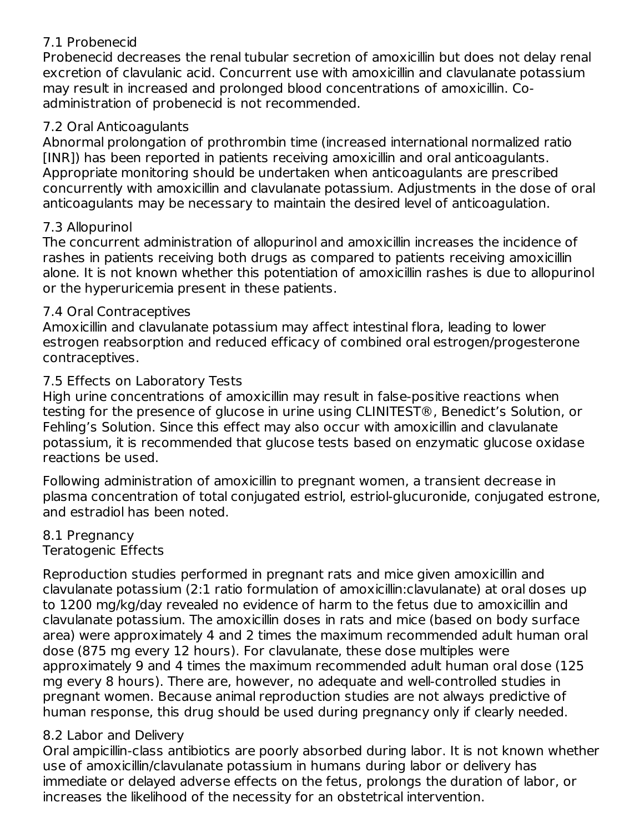## 7.1 Probenecid

Probenecid decreases the renal tubular secretion of amoxicillin but does not delay renal excretion of clavulanic acid. Concurrent use with amoxicillin and clavulanate potassium may result in increased and prolonged blood concentrations of amoxicillin. Coadministration of probenecid is not recommended.

### 7.2 Oral Anticoagulants

Abnormal prolongation of prothrombin time (increased international normalized ratio [INR]) has been reported in patients receiving amoxicillin and oral anticoagulants. Appropriate monitoring should be undertaken when anticoagulants are prescribed concurrently with amoxicillin and clavulanate potassium. Adjustments in the dose of oral anticoagulants may be necessary to maintain the desired level of anticoagulation.

### 7.3 Allopurinol

The concurrent administration of allopurinol and amoxicillin increases the incidence of rashes in patients receiving both drugs as compared to patients receiving amoxicillin alone. It is not known whether this potentiation of amoxicillin rashes is due to allopurinol or the hyperuricemia present in these patients.

### 7.4 Oral Contraceptives

Amoxicillin and clavulanate potassium may affect intestinal flora, leading to lower estrogen reabsorption and reduced efficacy of combined oral estrogen/progesterone contraceptives.

### 7.5 Effects on Laboratory Tests

High urine concentrations of amoxicillin may result in false-positive reactions when testing for the presence of glucose in urine using CLINITEST®, Benedict's Solution, or Fehling's Solution. Since this effect may also occur with amoxicillin and clavulanate potassium, it is recommended that glucose tests based on enzymatic glucose oxidase reactions be used.

Following administration of amoxicillin to pregnant women, a transient decrease in plasma concentration of total conjugated estriol, estriol-glucuronide, conjugated estrone, and estradiol has been noted.

#### 8.1 Pregnancy Teratogenic Effects

Reproduction studies performed in pregnant rats and mice given amoxicillin and clavulanate potassium (2:1 ratio formulation of amoxicillin:clavulanate) at oral doses up to 1200 mg/kg/day revealed no evidence of harm to the fetus due to amoxicillin and clavulanate potassium. The amoxicillin doses in rats and mice (based on body surface area) were approximately 4 and 2 times the maximum recommended adult human oral dose (875 mg every 12 hours). For clavulanate, these dose multiples were approximately 9 and 4 times the maximum recommended adult human oral dose (125 mg every 8 hours). There are, however, no adequate and well-controlled studies in pregnant women. Because animal reproduction studies are not always predictive of human response, this drug should be used during pregnancy only if clearly needed.

# 8.2 Labor and Delivery

Oral ampicillin-class antibiotics are poorly absorbed during labor. It is not known whether use of amoxicillin/clavulanate potassium in humans during labor or delivery has immediate or delayed adverse effects on the fetus, prolongs the duration of labor, or increases the likelihood of the necessity for an obstetrical intervention.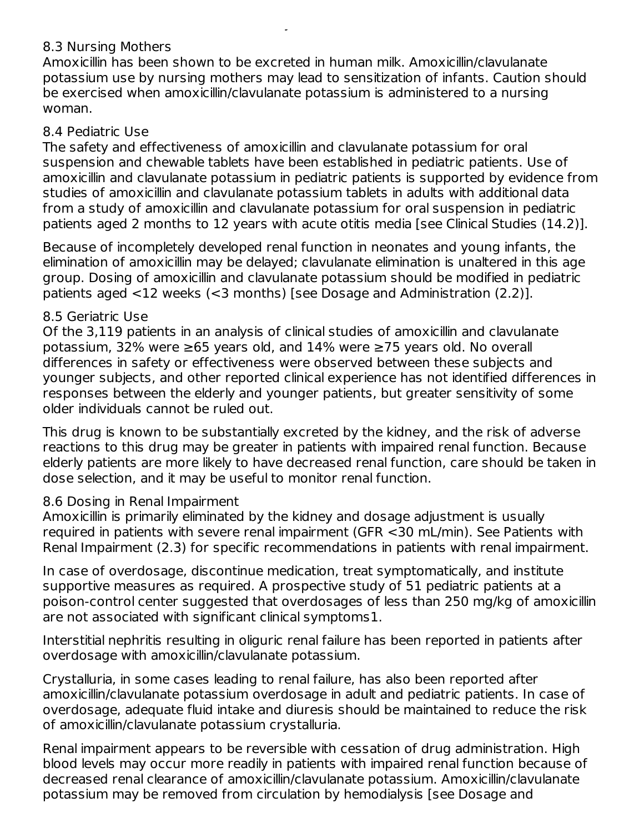### 8.3 Nursing Mothers

Amoxicillin has been shown to be excreted in human milk. Amoxicillin/clavulanate potassium use by nursing mothers may lead to sensitization of infants. Caution should be exercised when amoxicillin/clavulanate potassium is administered to a nursing woman.

increases the likelihood of the necessity for an obstetrical intervention.

### 8.4 Pediatric Use

The safety and effectiveness of amoxicillin and clavulanate potassium for oral suspension and chewable tablets have been established in pediatric patients. Use of amoxicillin and clavulanate potassium in pediatric patients is supported by evidence from studies of amoxicillin and clavulanate potassium tablets in adults with additional data from a study of amoxicillin and clavulanate potassium for oral suspension in pediatric patients aged 2 months to 12 years with acute otitis media [see Clinical Studies (14.2)].

Because of incompletely developed renal function in neonates and young infants, the elimination of amoxicillin may be delayed; clavulanate elimination is unaltered in this age group. Dosing of amoxicillin and clavulanate potassium should be modified in pediatric patients aged <12 weeks (<3 months) [see Dosage and Administration (2.2)].

### 8.5 Geriatric Use

Of the 3,119 patients in an analysis of clinical studies of amoxicillin and clavulanate potassium, 32% were ≥65 years old, and 14% were ≥75 years old. No overall differences in safety or effectiveness were observed between these subjects and younger subjects, and other reported clinical experience has not identified differences in responses between the elderly and younger patients, but greater sensitivity of some older individuals cannot be ruled out.

This drug is known to be substantially excreted by the kidney, and the risk of adverse reactions to this drug may be greater in patients with impaired renal function. Because elderly patients are more likely to have decreased renal function, care should be taken in dose selection, and it may be useful to monitor renal function.

### 8.6 Dosing in Renal Impairment

Amoxicillin is primarily eliminated by the kidney and dosage adjustment is usually required in patients with severe renal impairment (GFR <30 mL/min). See Patients with Renal Impairment (2.3) for specific recommendations in patients with renal impairment.

In case of overdosage, discontinue medication, treat symptomatically, and institute supportive measures as required. A prospective study of 51 pediatric patients at a poison-control center suggested that overdosages of less than 250 mg/kg of amoxicillin are not associated with significant clinical symptoms1.

Interstitial nephritis resulting in oliguric renal failure has been reported in patients after overdosage with amoxicillin/clavulanate potassium.

Crystalluria, in some cases leading to renal failure, has also been reported after amoxicillin/clavulanate potassium overdosage in adult and pediatric patients. In case of overdosage, adequate fluid intake and diuresis should be maintained to reduce the risk of amoxicillin/clavulanate potassium crystalluria.

Renal impairment appears to be reversible with cessation of drug administration. High blood levels may occur more readily in patients with impaired renal function because of decreased renal clearance of amoxicillin/clavulanate potassium. Amoxicillin/clavulanate potassium may be removed from circulation by hemodialysis [see Dosage and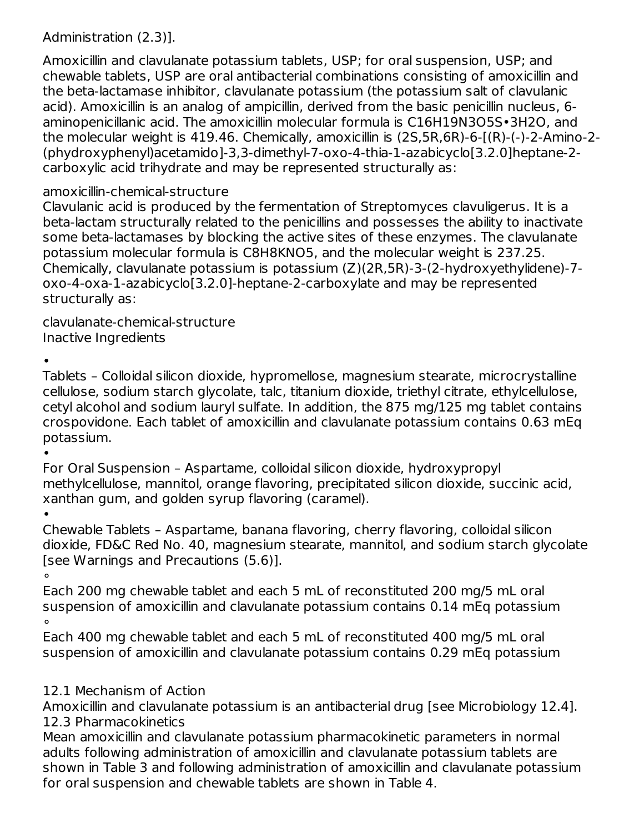Administration (2.3)].

Amoxicillin and clavulanate potassium tablets, USP; for oral suspension, USP; and chewable tablets, USP are oral antibacterial combinations consisting of amoxicillin and the beta-lactamase inhibitor, clavulanate potassium (the potassium salt of clavulanic acid). Amoxicillin is an analog of ampicillin, derived from the basic penicillin nucleus, 6 aminopenicillanic acid. The amoxicillin molecular formula is C16H19N3O5S•3H2O, and the molecular weight is 419.46. Chemically, amoxicillin is (2S,5R,6R)-6-[(R)-(-)-2-Amino-2- (phydroxyphenyl)acetamido]-3,3-dimethyl-7-oxo-4-thia-1-azabicyclo[3.2.0]heptane-2 carboxylic acid trihydrate and may be represented structurally as:

### amoxicillin-chemical-structure

Clavulanic acid is produced by the fermentation of Streptomyces clavuligerus. It is a beta-lactam structurally related to the penicillins and possesses the ability to inactivate some beta-lactamases by blocking the active sites of these enzymes. The clavulanate potassium molecular formula is C8H8KNO5, and the molecular weight is 237.25. Chemically, clavulanate potassium is potassium (Z)(2R,5R)-3-(2-hydroxyethylidene)-7 oxo-4-oxa-1-azabicyclo[3.2.0]-heptane-2-carboxylate and may be represented structurally as:

clavulanate-chemical-structure Inactive Ingredients

•

Tablets – Colloidal silicon dioxide, hypromellose, magnesium stearate, microcrystalline cellulose, sodium starch glycolate, talc, titanium dioxide, triethyl citrate, ethylcellulose, cetyl alcohol and sodium lauryl sulfate. In addition, the 875 mg/125 mg tablet contains crospovidone. Each tablet of amoxicillin and clavulanate potassium contains 0.63 mEq potassium.

•

For Oral Suspension – Aspartame, colloidal silicon dioxide, hydroxypropyl methylcellulose, mannitol, orange flavoring, precipitated silicon dioxide, succinic acid, xanthan gum, and golden syrup flavoring (caramel).

•

Chewable Tablets – Aspartame, banana flavoring, cherry flavoring, colloidal silicon dioxide, FD&C Red No. 40, magnesium stearate, mannitol, and sodium starch glycolate [see Warnings and Precautions (5.6)].

∘

Each 200 mg chewable tablet and each 5 mL of reconstituted 200 mg/5 mL oral suspension of amoxicillin and clavulanate potassium contains 0.14 mEq potassium ∘

Each 400 mg chewable tablet and each 5 mL of reconstituted 400 mg/5 mL oral suspension of amoxicillin and clavulanate potassium contains 0.29 mEq potassium

### 12.1 Mechanism of Action

Amoxicillin and clavulanate potassium is an antibacterial drug [see Microbiology 12.4]. 12.3 Pharmacokinetics

Mean amoxicillin and clavulanate potassium pharmacokinetic parameters in normal adults following administration of amoxicillin and clavulanate potassium tablets are shown in Table 3 and following administration of amoxicillin and clavulanate potassium for oral suspension and chewable tablets are shown in Table 4.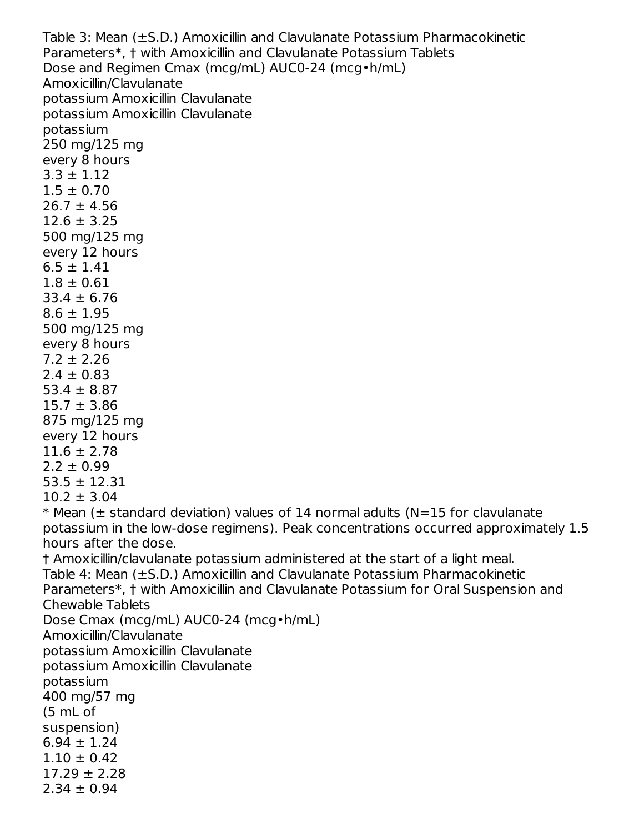Table 3: Mean (±S.D.) Amoxicillin and Clavulanate Potassium Pharmacokinetic Parameters\*, † with Amoxicillin and Clavulanate Potassium Tablets Dose and Regimen Cmax (mcg/mL) AUC0-24 (mcg•h/mL) Amoxicillin/Clavulanate potassium Amoxicillin Clavulanate potassium Amoxicillin Clavulanate potassium 250 mg/125 mg every 8 hours  $3.3 \pm 1.12$  $1.5 \pm 0.70$  $26.7 \pm 4.56$  $12.6 \pm 3.25$ 500 mg/125 mg every 12 hours  $6.5 \pm 1.41$  $1.8 \pm 0.61$  $33.4 \pm 6.76$  $8.6 \pm 1.95$ 500 mg/125 mg every 8 hours  $7.2 \pm 2.26$  $2.4 \pm 0.83$  $53.4 \pm 8.87$  $15.7 \pm 3.86$ 875 mg/125 mg every 12 hours  $11.6 \pm 2.78$  $2.2 \pm 0.99$  $53.5 \pm 12.31$  $10.2 + 3.04$  $*$  Mean ( $\pm$  standard deviation) values of 14 normal adults (N=15 for clavulanate potassium in the low-dose regimens). Peak concentrations occurred approximately 1.5 hours after the dose. † Amoxicillin/clavulanate potassium administered at the start of a light meal. Table 4: Mean (±S.D.) Amoxicillin and Clavulanate Potassium Pharmacokinetic Parameters\*, † with Amoxicillin and Clavulanate Potassium for Oral Suspension and Chewable Tablets Dose Cmax (mcg/mL) AUC0-24 (mcg•h/mL) Amoxicillin/Clavulanate potassium Amoxicillin Clavulanate potassium Amoxicillin Clavulanate potassium 400 mg/57 mg (5 mL of suspension)  $6.94 \pm 1.24$  $1.10 \pm 0.42$  $17.29 \pm 2.28$  $2.34 \pm 0.94$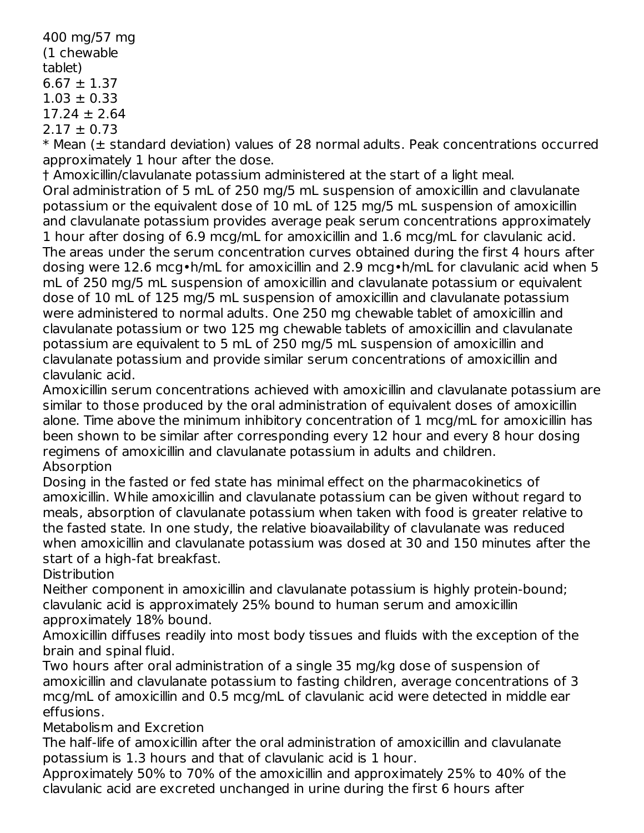400 mg/57 mg (1 chewable tablet)  $6.67 + 1.37$  $1.03 \pm 0.33$  $17.24 + 2.64$  $2.17 \pm 0.73$ 

\* Mean (± standard deviation) values of 28 normal adults. Peak concentrations occurred approximately 1 hour after the dose.

† Amoxicillin/clavulanate potassium administered at the start of a light meal. Oral administration of 5 mL of 250 mg/5 mL suspension of amoxicillin and clavulanate potassium or the equivalent dose of 10 mL of 125 mg/5 mL suspension of amoxicillin and clavulanate potassium provides average peak serum concentrations approximately 1 hour after dosing of 6.9 mcg/mL for amoxicillin and 1.6 mcg/mL for clavulanic acid. The areas under the serum concentration curves obtained during the first 4 hours after dosing were 12.6 mcg•h/mL for amoxicillin and 2.9 mcg•h/mL for clavulanic acid when 5 mL of 250 mg/5 mL suspension of amoxicillin and clavulanate potassium or equivalent dose of 10 mL of 125 mg/5 mL suspension of amoxicillin and clavulanate potassium were administered to normal adults. One 250 mg chewable tablet of amoxicillin and clavulanate potassium or two 125 mg chewable tablets of amoxicillin and clavulanate potassium are equivalent to 5 mL of 250 mg/5 mL suspension of amoxicillin and clavulanate potassium and provide similar serum concentrations of amoxicillin and clavulanic acid.

Amoxicillin serum concentrations achieved with amoxicillin and clavulanate potassium are similar to those produced by the oral administration of equivalent doses of amoxicillin alone. Time above the minimum inhibitory concentration of 1 mcg/mL for amoxicillin has been shown to be similar after corresponding every 12 hour and every 8 hour dosing regimens of amoxicillin and clavulanate potassium in adults and children. Absorption

Dosing in the fasted or fed state has minimal effect on the pharmacokinetics of amoxicillin. While amoxicillin and clavulanate potassium can be given without regard to meals, absorption of clavulanate potassium when taken with food is greater relative to the fasted state. In one study, the relative bioavailability of clavulanate was reduced when amoxicillin and clavulanate potassium was dosed at 30 and 150 minutes after the start of a high-fat breakfast.

**Distribution** 

Neither component in amoxicillin and clavulanate potassium is highly protein-bound; clavulanic acid is approximately 25% bound to human serum and amoxicillin approximately 18% bound.

Amoxicillin diffuses readily into most body tissues and fluids with the exception of the brain and spinal fluid.

Two hours after oral administration of a single 35 mg/kg dose of suspension of amoxicillin and clavulanate potassium to fasting children, average concentrations of 3 mcg/mL of amoxicillin and 0.5 mcg/mL of clavulanic acid were detected in middle ear effusions.

Metabolism and Excretion

The half-life of amoxicillin after the oral administration of amoxicillin and clavulanate potassium is 1.3 hours and that of clavulanic acid is 1 hour.

Approximately 50% to 70% of the amoxicillin and approximately 25% to 40% of the clavulanic acid are excreted unchanged in urine during the first 6 hours after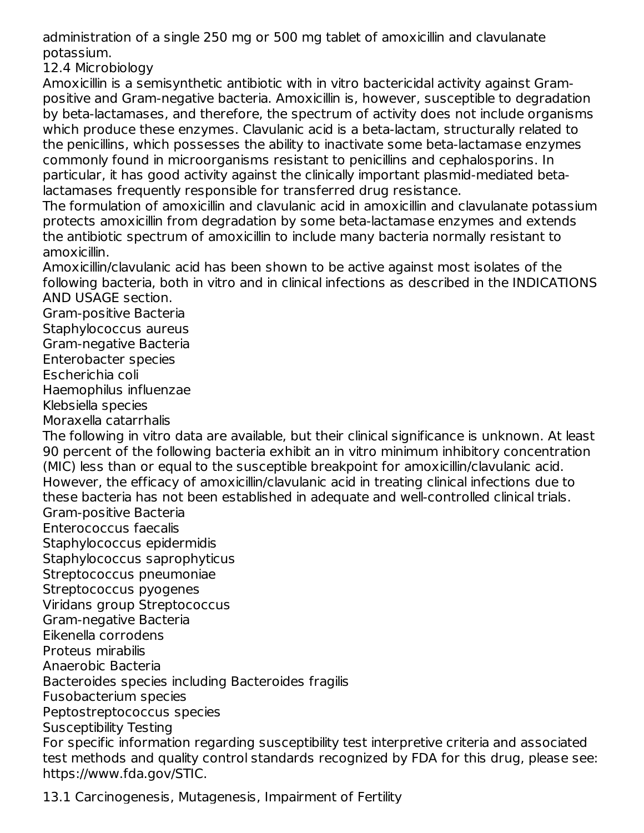administration of a single 250 mg or 500 mg tablet of amoxicillin and clavulanate potassium.

12.4 Microbiology

Amoxicillin is a semisynthetic antibiotic with in vitro bactericidal activity against Grampositive and Gram-negative bacteria. Amoxicillin is, however, susceptible to degradation by beta-lactamases, and therefore, the spectrum of activity does not include organisms which produce these enzymes. Clavulanic acid is a beta-lactam, structurally related to the penicillins, which possesses the ability to inactivate some beta-lactamase enzymes commonly found in microorganisms resistant to penicillins and cephalosporins. In particular, it has good activity against the clinically important plasmid-mediated betalactamases frequently responsible for transferred drug resistance.

The formulation of amoxicillin and clavulanic acid in amoxicillin and clavulanate potassium protects amoxicillin from degradation by some beta-lactamase enzymes and extends the antibiotic spectrum of amoxicillin to include many bacteria normally resistant to amoxicillin.

Amoxicillin/clavulanic acid has been shown to be active against most isolates of the following bacteria, both in vitro and in clinical infections as described in the INDICATIONS AND USAGE section.

Gram-positive Bacteria

Staphylococcus aureus

Gram-negative Bacteria

Enterobacter species

Escherichia coli

Haemophilus influenzae

Klebsiella species

Moraxella catarrhalis

The following in vitro data are available, but their clinical significance is unknown. At least 90 percent of the following bacteria exhibit an in vitro minimum inhibitory concentration (MIC) less than or equal to the susceptible breakpoint for amoxicillin/clavulanic acid. However, the efficacy of amoxicillin/clavulanic acid in treating clinical infections due to these bacteria has not been established in adequate and well-controlled clinical trials. Gram-positive Bacteria

Enterococcus faecalis

Staphylococcus epidermidis

Staphylococcus saprophyticus

Streptococcus pneumoniae

Streptococcus pyogenes

Viridans group Streptococcus

Gram-negative Bacteria

Eikenella corrodens

Proteus mirabilis

Anaerobic Bacteria

Bacteroides species including Bacteroides fragilis

Fusobacterium species

Peptostreptococcus species

Susceptibility Testing

For specific information regarding susceptibility test interpretive criteria and associated test methods and quality control standards recognized by FDA for this drug, please see: https://www.fda.gov/STIC.

13.1 Carcinogenesis, Mutagenesis, Impairment of Fertility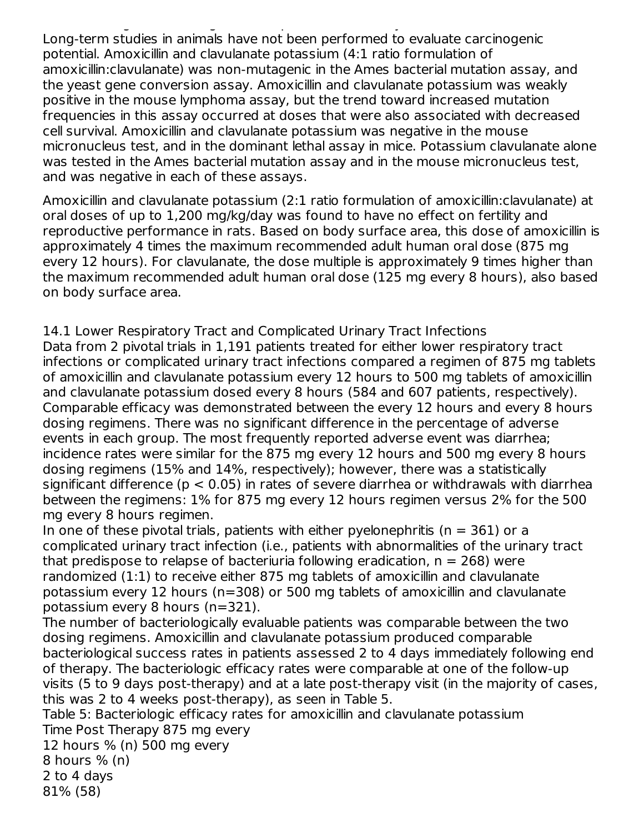13.1 Carcinogenesis, Mutagenesis, Impairment of Fertility Long-term studies in animals have not been performed to evaluate carcinogenic potential. Amoxicillin and clavulanate potassium (4:1 ratio formulation of amoxicillin:clavulanate) was non-mutagenic in the Ames bacterial mutation assay, and the yeast gene conversion assay. Amoxicillin and clavulanate potassium was weakly positive in the mouse lymphoma assay, but the trend toward increased mutation frequencies in this assay occurred at doses that were also associated with decreased cell survival. Amoxicillin and clavulanate potassium was negative in the mouse micronucleus test, and in the dominant lethal assay in mice. Potassium clavulanate alone was tested in the Ames bacterial mutation assay and in the mouse micronucleus test, and was negative in each of these assays.

Amoxicillin and clavulanate potassium (2:1 ratio formulation of amoxicillin:clavulanate) at oral doses of up to 1,200 mg/kg/day was found to have no effect on fertility and reproductive performance in rats. Based on body surface area, this dose of amoxicillin is approximately 4 times the maximum recommended adult human oral dose (875 mg every 12 hours). For clavulanate, the dose multiple is approximately 9 times higher than the maximum recommended adult human oral dose (125 mg every 8 hours), also based on body surface area.

14.1 Lower Respiratory Tract and Complicated Urinary Tract Infections Data from 2 pivotal trials in 1,191 patients treated for either lower respiratory tract infections or complicated urinary tract infections compared a regimen of 875 mg tablets of amoxicillin and clavulanate potassium every 12 hours to 500 mg tablets of amoxicillin and clavulanate potassium dosed every 8 hours (584 and 607 patients, respectively). Comparable efficacy was demonstrated between the every 12 hours and every 8 hours dosing regimens. There was no significant difference in the percentage of adverse events in each group. The most frequently reported adverse event was diarrhea; incidence rates were similar for the 875 mg every 12 hours and 500 mg every 8 hours dosing regimens (15% and 14%, respectively); however, there was a statistically significant difference ( $p < 0.05$ ) in rates of severe diarrhea or withdrawals with diarrhea between the regimens: 1% for 875 mg every 12 hours regimen versus 2% for the 500 mg every 8 hours regimen.

In one of these pivotal trials, patients with either pyelonephritis ( $n = 361$ ) or a complicated urinary tract infection (i.e., patients with abnormalities of the urinary tract that predispose to relapse of bacteriuria following eradication,  $n = 268$ ) were randomized (1:1) to receive either 875 mg tablets of amoxicillin and clavulanate potassium every 12 hours (n=308) or 500 mg tablets of amoxicillin and clavulanate potassium every 8 hours (n=321).

The number of bacteriologically evaluable patients was comparable between the two dosing regimens. Amoxicillin and clavulanate potassium produced comparable bacteriological success rates in patients assessed 2 to 4 days immediately following end of therapy. The bacteriologic efficacy rates were comparable at one of the follow-up visits (5 to 9 days post-therapy) and at a late post-therapy visit (in the majority of cases, this was 2 to 4 weeks post-therapy), as seen in Table 5.

Table 5: Bacteriologic efficacy rates for amoxicillin and clavulanate potassium Time Post Therapy 875 mg every

- 12 hours % (n) 500 mg every
- 8 hours % (n)
- 2 to 4 days
- 81% (58)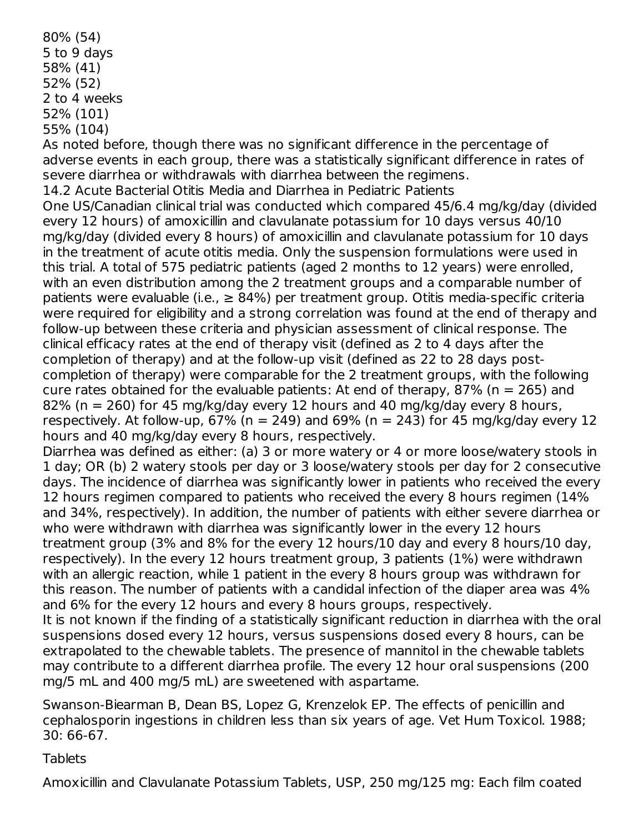80% (54) 5 to 9 days 58% (41) 52% (52) 2 to 4 weeks 52% (101) 55% (104)

As noted before, though there was no significant difference in the percentage of adverse events in each group, there was a statistically significant difference in rates of severe diarrhea or withdrawals with diarrhea between the regimens.

14.2 Acute Bacterial Otitis Media and Diarrhea in Pediatric Patients One US/Canadian clinical trial was conducted which compared 45/6.4 mg/kg/day (divided every 12 hours) of amoxicillin and clavulanate potassium for 10 days versus 40/10 mg/kg/day (divided every 8 hours) of amoxicillin and clavulanate potassium for 10 days in the treatment of acute otitis media. Only the suspension formulations were used in this trial. A total of 575 pediatric patients (aged 2 months to 12 years) were enrolled, with an even distribution among the 2 treatment groups and a comparable number of patients were evaluable (i.e.,  $\geq$  84%) per treatment group. Otitis media-specific criteria were required for eligibility and a strong correlation was found at the end of therapy and follow-up between these criteria and physician assessment of clinical response. The clinical efficacy rates at the end of therapy visit (defined as 2 to 4 days after the completion of therapy) and at the follow-up visit (defined as 22 to 28 days postcompletion of therapy) were comparable for the 2 treatment groups, with the following cure rates obtained for the evaluable patients: At end of therapy, 87% ( $n = 265$ ) and 82% (n = 260) for 45 mg/kg/day every 12 hours and 40 mg/kg/day every 8 hours, respectively. At follow-up, 67% ( $n = 249$ ) and 69% ( $n = 243$ ) for 45 mg/kg/day every 12 hours and 40 mg/kg/day every 8 hours, respectively.

Diarrhea was defined as either: (a) 3 or more watery or 4 or more loose/watery stools in 1 day; OR (b) 2 watery stools per day or 3 loose/watery stools per day for 2 consecutive days. The incidence of diarrhea was significantly lower in patients who received the every 12 hours regimen compared to patients who received the every 8 hours regimen (14% and 34%, respectively). In addition, the number of patients with either severe diarrhea or who were withdrawn with diarrhea was significantly lower in the every 12 hours treatment group (3% and 8% for the every 12 hours/10 day and every 8 hours/10 day, respectively). In the every 12 hours treatment group, 3 patients (1%) were withdrawn with an allergic reaction, while 1 patient in the every 8 hours group was withdrawn for this reason. The number of patients with a candidal infection of the diaper area was 4% and 6% for the every 12 hours and every 8 hours groups, respectively. It is not known if the finding of a statistically significant reduction in diarrhea with the oral suspensions dosed every 12 hours, versus suspensions dosed every 8 hours, can be extrapolated to the chewable tablets. The presence of mannitol in the chewable tablets may contribute to a different diarrhea profile. The every 12 hour oral suspensions (200

Swanson-Biearman B, Dean BS, Lopez G, Krenzelok EP. The effects of penicillin and cephalosporin ingestions in children less than six years of age. Vet Hum Toxicol. 1988; 30: 66-67.

mg/5 mL and 400 mg/5 mL) are sweetened with aspartame.

**Tablets** 

Amoxicillin and Clavulanate Potassium Tablets, USP, 250 mg/125 mg: Each film coated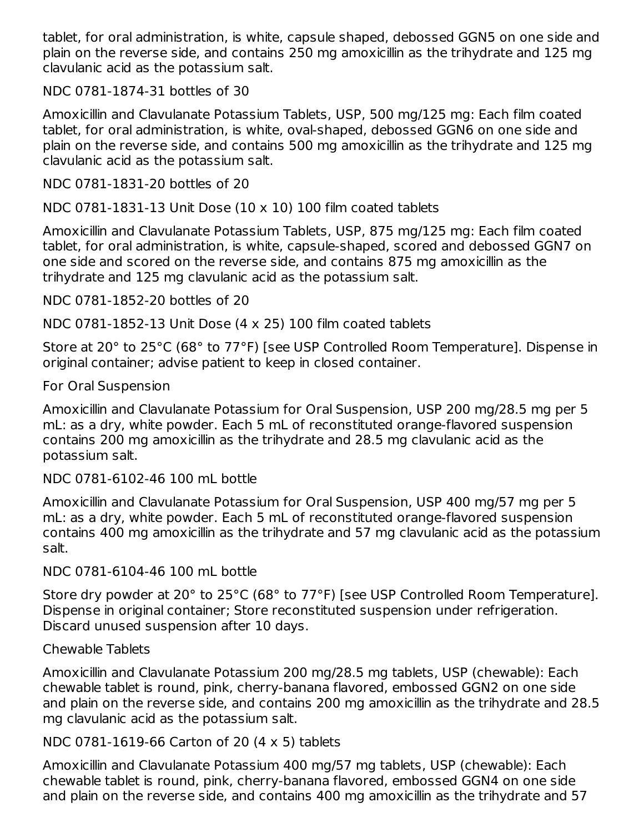tablet, for oral administration, is white, capsule shaped, debossed GGN5 on one side and plain on the reverse side, and contains 250 mg amoxicillin as the trihydrate and 125 mg clavulanic acid as the potassium salt.

### NDC 0781-1874-31 bottles of 30

Amoxicillin and Clavulanate Potassium Tablets, USP, 500 mg/125 mg: Each film coated tablet, for oral administration, is white, oval-shaped, debossed GGN6 on one side and plain on the reverse side, and contains 500 mg amoxicillin as the trihydrate and 125 mg clavulanic acid as the potassium salt.

NDC 0781-1831-20 bottles of 20

## NDC 0781-1831-13 Unit Dose (10 x 10) 100 film coated tablets

Amoxicillin and Clavulanate Potassium Tablets, USP, 875 mg/125 mg: Each film coated tablet, for oral administration, is white, capsule-shaped, scored and debossed GGN7 on one side and scored on the reverse side, and contains 875 mg amoxicillin as the trihydrate and 125 mg clavulanic acid as the potassium salt.

NDC 0781-1852-20 bottles of 20

NDC 0781-1852-13 Unit Dose (4 x 25) 100 film coated tablets

Store at 20° to 25°C (68° to 77°F) [see USP Controlled Room Temperature]. Dispense in original container; advise patient to keep in closed container.

### For Oral Suspension

Amoxicillin and Clavulanate Potassium for Oral Suspension, USP 200 mg/28.5 mg per 5 mL: as a dry, white powder. Each 5 mL of reconstituted orange-flavored suspension contains 200 mg amoxicillin as the trihydrate and 28.5 mg clavulanic acid as the potassium salt.

### NDC 0781-6102-46 100 mL bottle

Amoxicillin and Clavulanate Potassium for Oral Suspension, USP 400 mg/57 mg per 5 mL: as a dry, white powder. Each 5 mL of reconstituted orange-flavored suspension contains 400 mg amoxicillin as the trihydrate and 57 mg clavulanic acid as the potassium salt.

NDC 0781-6104-46 100 mL bottle

Store dry powder at 20° to 25°C (68° to 77°F) [see USP Controlled Room Temperature]. Dispense in original container; Store reconstituted suspension under refrigeration. Discard unused suspension after 10 days.

### Chewable Tablets

Amoxicillin and Clavulanate Potassium 200 mg/28.5 mg tablets, USP (chewable): Each chewable tablet is round, pink, cherry-banana flavored, embossed GGN2 on one side and plain on the reverse side, and contains 200 mg amoxicillin as the trihydrate and 28.5 mg clavulanic acid as the potassium salt.

### NDC 0781-1619-66 Carton of 20 (4 x 5) tablets

Amoxicillin and Clavulanate Potassium 400 mg/57 mg tablets, USP (chewable): Each chewable tablet is round, pink, cherry-banana flavored, embossed GGN4 on one side and plain on the reverse side, and contains 400 mg amoxicillin as the trihydrate and 57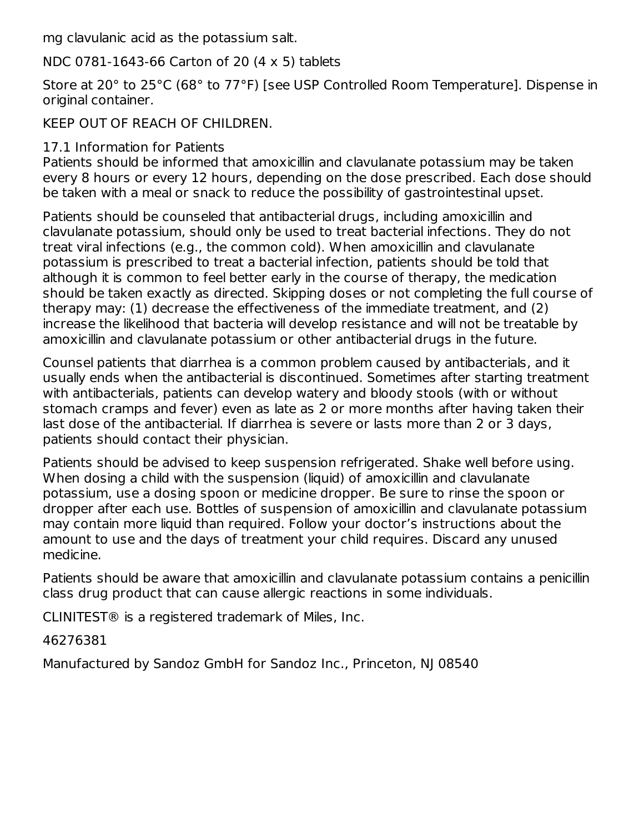mg clavulanic acid as the potassium salt.

### NDC 0781-1643-66 Carton of 20 (4 x 5) tablets

Store at 20° to 25°C (68° to 77°F) [see USP Controlled Room Temperature]. Dispense in original container.

### KEEP OUT OF REACH OF CHILDREN.

### 17.1 Information for Patients

Patients should be informed that amoxicillin and clavulanate potassium may be taken every 8 hours or every 12 hours, depending on the dose prescribed. Each dose should be taken with a meal or snack to reduce the possibility of gastrointestinal upset.

Patients should be counseled that antibacterial drugs, including amoxicillin and clavulanate potassium, should only be used to treat bacterial infections. They do not treat viral infections (e.g., the common cold). When amoxicillin and clavulanate potassium is prescribed to treat a bacterial infection, patients should be told that although it is common to feel better early in the course of therapy, the medication should be taken exactly as directed. Skipping doses or not completing the full course of therapy may: (1) decrease the effectiveness of the immediate treatment, and (2) increase the likelihood that bacteria will develop resistance and will not be treatable by amoxicillin and clavulanate potassium or other antibacterial drugs in the future.

Counsel patients that diarrhea is a common problem caused by antibacterials, and it usually ends when the antibacterial is discontinued. Sometimes after starting treatment with antibacterials, patients can develop watery and bloody stools (with or without stomach cramps and fever) even as late as 2 or more months after having taken their last dose of the antibacterial. If diarrhea is severe or lasts more than 2 or 3 days, patients should contact their physician.

Patients should be advised to keep suspension refrigerated. Shake well before using. When dosing a child with the suspension (liquid) of amoxicillin and clavulanate potassium, use a dosing spoon or medicine dropper. Be sure to rinse the spoon or dropper after each use. Bottles of suspension of amoxicillin and clavulanate potassium may contain more liquid than required. Follow your doctor's instructions about the amount to use and the days of treatment your child requires. Discard any unused medicine.

Patients should be aware that amoxicillin and clavulanate potassium contains a penicillin class drug product that can cause allergic reactions in some individuals.

CLINITEST® is a registered trademark of Miles, Inc.

### 46276381

Manufactured by Sandoz GmbH for Sandoz Inc., Princeton, NJ 08540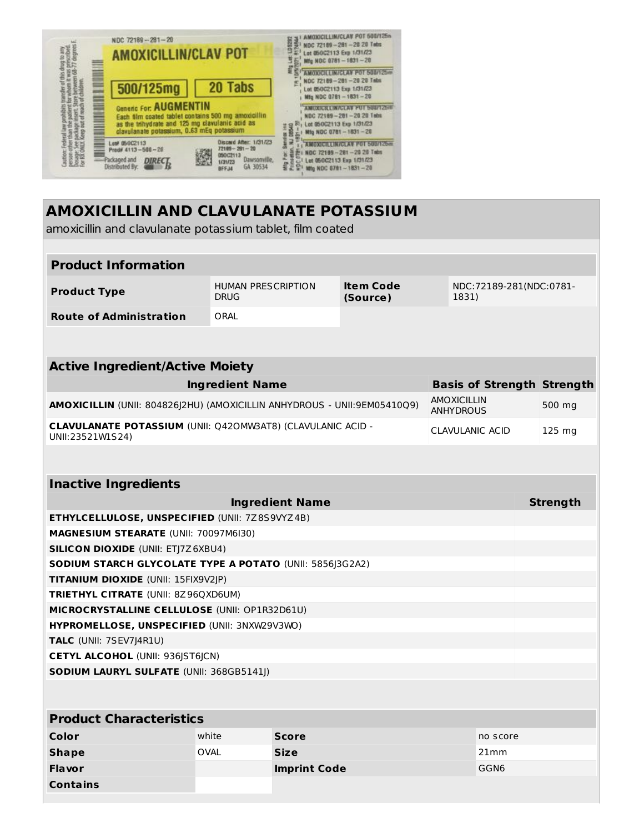

# **AMOXICILLIN AND CLAVULANATE POTASSIUM**

amoxicillin and clavulanate potassium tablet, film coated

| <b>Product Information</b>                                                                                         |                                          |                              |                                  |                                   |                 |  |
|--------------------------------------------------------------------------------------------------------------------|------------------------------------------|------------------------------|----------------------------------|-----------------------------------|-----------------|--|
| <b>Product Type</b>                                                                                                | <b>HUMAN PRESCRIPTION</b><br><b>DRUG</b> | <b>Item Code</b><br>(Source) | NDC:72189-281(NDC:0781-<br>1831) |                                   |                 |  |
| <b>Route of Administration</b>                                                                                     | ORAL                                     |                              |                                  |                                   |                 |  |
|                                                                                                                    |                                          |                              |                                  |                                   |                 |  |
| <b>Active Ingredient/Active Moiety</b>                                                                             |                                          |                              |                                  |                                   |                 |  |
|                                                                                                                    | <b>Ingredient Name</b>                   |                              |                                  | <b>Basis of Strength Strength</b> |                 |  |
| <b>AMOXICILLIN</b><br>AMOXICILLIN (UNII: 804826J2HU) (AMOXICILLIN ANHYDROUS - UNII:9EM05410Q9)<br><b>ANHYDROUS</b> |                                          |                              |                                  |                                   | 500 mg          |  |
| <b>CLAVULANATE POTASSIUM (UNII: Q420MW3AT8) (CLAVULANIC ACID -</b><br><b>CLAVULANIC ACID</b><br>UNII:23521W1S24)   |                                          |                              |                                  | 125 mg                            |                 |  |
|                                                                                                                    |                                          |                              |                                  |                                   |                 |  |
| <b>Inactive Ingredients</b>                                                                                        |                                          |                              |                                  |                                   |                 |  |
| <b>Ingredient Name</b>                                                                                             |                                          |                              |                                  |                                   | <b>Strength</b> |  |
| ETHYLCELLULOSE, UNSPECIFIED (UNII: 7Z8S9VYZ4B)                                                                     |                                          |                              |                                  |                                   |                 |  |
| MAGNESIUM STEARATE (UNII: 70097M6I30)                                                                              |                                          |                              |                                  |                                   |                 |  |
| <b>SILICON DIOXIDE (UNII: ETJ7Z6XBU4)</b>                                                                          |                                          |                              |                                  |                                   |                 |  |
| SODIUM STARCH GLYCOLATE TYPE A POTATO (UNII: 5856J3G2A2)                                                           |                                          |                              |                                  |                                   |                 |  |
| <b>TITANIUM DIOXIDE (UNII: 15FIX9V2JP)</b>                                                                         |                                          |                              |                                  |                                   |                 |  |
| TRIETHYL CITRATE (UNII: 8Z96QXD6UM)                                                                                |                                          |                              |                                  |                                   |                 |  |
| MICROCRYSTALLINE CELLULOSE (UNII: OP1R32D61U)                                                                      |                                          |                              |                                  |                                   |                 |  |
| HYPROMELLOSE, UNSPECIFIED (UNII: 3NXW29V3WO)                                                                       |                                          |                              |                                  |                                   |                 |  |
| TALC (UNII: 7SEV7J4R1U)                                                                                            |                                          |                              |                                  |                                   |                 |  |
| <b>CETYL ALCOHOL (UNII: 936 ST6 CN)</b><br>SODIUM LAURYL SULFATE (UNII: 368GB5141J)                                |                                          |                              |                                  |                                   |                 |  |
|                                                                                                                    |                                          |                              |                                  |                                   |                 |  |

#### **Product Characteristics**

г

| Color           | white       | <b>Score</b>        | no score |
|-----------------|-------------|---------------------|----------|
| <b>Shape</b>    | <b>OVAL</b> | <b>Size</b>         | 21mm     |
| <b>Flavor</b>   |             | <b>Imprint Code</b> | GGN6     |
| <b>Contains</b> |             |                     |          |